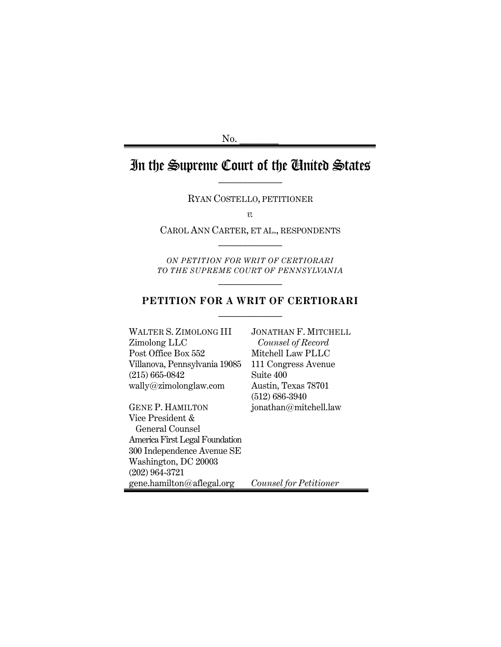$No.$ 

# In the Supreme Court of the United States

RYAN COSTELLO, PETITIONER

*v.*

CAROL ANN CARTER, ET AL., RESPONDENTS  $\mathcal{L}_\text{max}$ 

*ON PETITION FOR WRIT OF CERTIORARI TO THE SUPREME COURT OF PENNSYLVANIA*  $\mathcal{L}_\text{max}$ 

#### **PETITION FOR A WRIT OF CERTIORARI**  $\mathcal{L}_\text{max}$

WALTER S. ZIMOLONG III Zimolong LLC Post Office Box 552 Villanova, Pennsylvania 19085 (215) 665-0842 wally@zimolonglaw.com

GENE P. HAMILTON Vice President & General Counsel America First Legal Foundation 300 Independence Avenue SE Washington, DC 20003 (202) 964-3721 gene.hamilton@aflegal.org

JONATHAN F. MITCHELL *Counsel of Record* Mitchell Law PLLC 111 Congress Avenue Suite 400 Austin, Texas 78701 (512) 686-3940 jonathan@mitchell.law

*Counsel for Petitioner*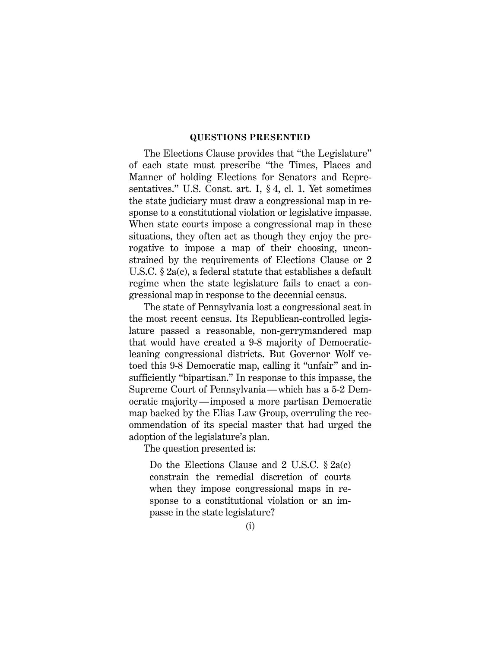#### **QUESTIONS PRESENTED**

The Elections Clause provides that "the Legislature" of each state must prescribe "the Times, Places and Manner of holding Elections for Senators and Representatives." U.S. Const. art. I, § 4, cl. 1. Yet sometimes the state judiciary must draw a congressional map in response to a constitutional violation or legislative impasse. When state courts impose a congressional map in these situations, they often act as though they enjoy the prerogative to impose a map of their choosing, unconstrained by the requirements of Elections Clause or 2 U.S.C. § 2a(c), a federal statute that establishes a default regime when the state legislature fails to enact a congressional map in response to the decennial census.

The state of Pennsylvania lost a congressional seat in the most recent census. Its Republican-controlled legislature passed a reasonable, non-gerrymandered map that would have created a 9-8 majority of Democraticleaning congressional districts. But Governor Wolf vetoed this 9-8 Democratic map, calling it "unfair" and insufficiently "bipartisan." In response to this impasse, the Supreme Court of Pennsylvania—which has a 5-2 Democratic majority—imposed a more partisan Democratic map backed by the Elias Law Group, overruling the recommendation of its special master that had urged the adoption of the legislature's plan.

The question presented is:

Do the Elections Clause and 2 U.S.C. § 2a(c) constrain the remedial discretion of courts when they impose congressional maps in response to a constitutional violation or an impasse in the state legislature?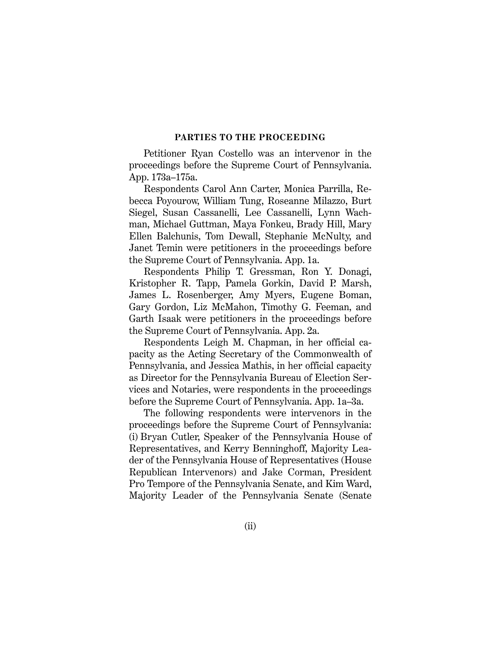#### **PARTIES TO THE PROCEEDING**

Petitioner Ryan Costello was an intervenor in the proceedings before the Supreme Court of Pennsylvania. App. 173a–175a.

Respondents Carol Ann Carter, Monica Parrilla, Rebecca Poyourow, William Tung, Roseanne Milazzo, Burt Siegel, Susan Cassanelli, Lee Cassanelli, Lynn Wachman, Michael Guttman, Maya Fonkeu, Brady Hill, Mary Ellen Balchunis, Tom Dewall, Stephanie McNulty, and Janet Temin were petitioners in the proceedings before the Supreme Court of Pennsylvania. App. 1a.

Respondents Philip T. Gressman, Ron Y. Donagi, Kristopher R. Tapp, Pamela Gorkin, David P. Marsh, James L. Rosenberger, Amy Myers, Eugene Boman, Gary Gordon, Liz McMahon, Timothy G. Feeman, and Garth Isaak were petitioners in the proceedings before the Supreme Court of Pennsylvania. App. 2a.

Respondents Leigh M. Chapman, in her official capacity as the Acting Secretary of the Commonwealth of Pennsylvania, and Jessica Mathis, in her official capacity as Director for the Pennsylvania Bureau of Election Services and Notaries, were respondents in the proceedings before the Supreme Court of Pennsylvania. App. 1a–3a.

The following respondents were intervenors in the proceedings before the Supreme Court of Pennsylvania: (i) Bryan Cutler, Speaker of the Pennsylvania House of Representatives, and Kerry Benninghoff, Majority Leader of the Pennsylvania House of Representatives (House Republican Intervenors) and Jake Corman, President Pro Tempore of the Pennsylvania Senate, and Kim Ward, Majority Leader of the Pennsylvania Senate (Senate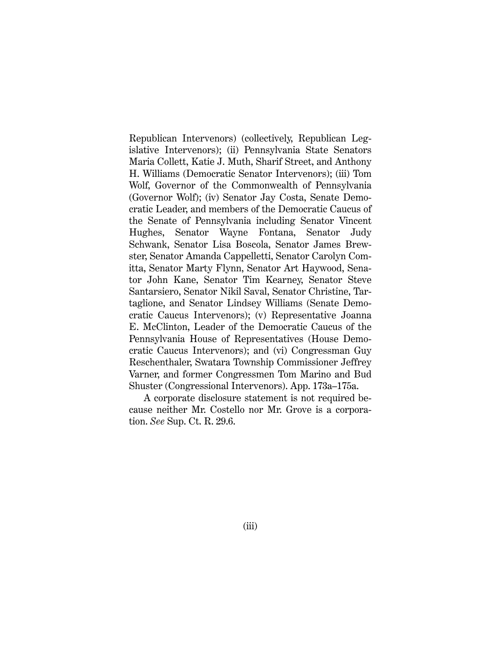Republican Intervenors) (collectively, Republican Legislative Intervenors); (ii) Pennsylvania State Senators Maria Collett, Katie J. Muth, Sharif Street, and Anthony H. Williams (Democratic Senator Intervenors); (iii) Tom Wolf, Governor of the Commonwealth of Pennsylvania (Governor Wolf); (iv) Senator Jay Costa, Senate Democratic Leader, and members of the Democratic Caucus of the Senate of Pennsylvania including Senator Vincent Hughes, Senator Wayne Fontana, Senator Judy Schwank, Senator Lisa Boscola, Senator James Brewster, Senator Amanda Cappelletti, Senator Carolyn Comitta, Senator Marty Flynn, Senator Art Haywood, Senator John Kane, Senator Tim Kearney, Senator Steve Santarsiero, Senator Nikil Saval, Senator Christine, Tartaglione, and Senator Lindsey Williams (Senate Democratic Caucus Intervenors); (v) Representative Joanna E. McClinton, Leader of the Democratic Caucus of the Pennsylvania House of Representatives (House Democratic Caucus Intervenors); and (vi) Congressman Guy Reschenthaler, Swatara Township Commissioner Jeffrey Varner, and former Congressmen Tom Marino and Bud Shuster (Congressional Intervenors). App. 173a–175a.

A corporate disclosure statement is not required because neither Mr. Costello nor Mr. Grove is a corporation. *See* Sup. Ct. R. 29.6.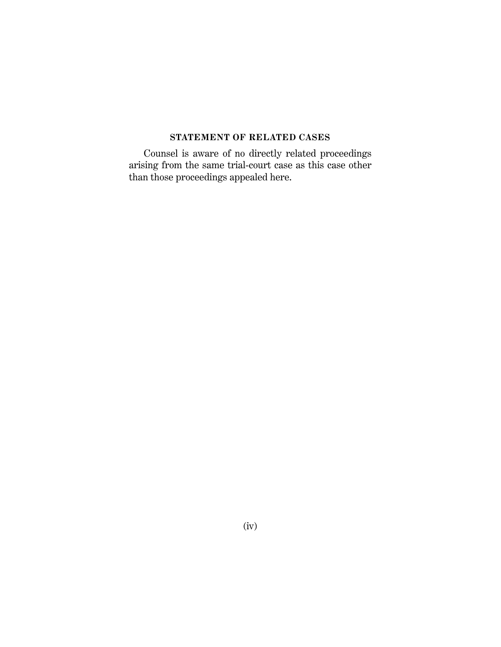### **STATEMENT OF RELATED CASES**

Counsel is aware of no directly related proceedings arising from the same trial-court case as this case other than those proceedings appealed here.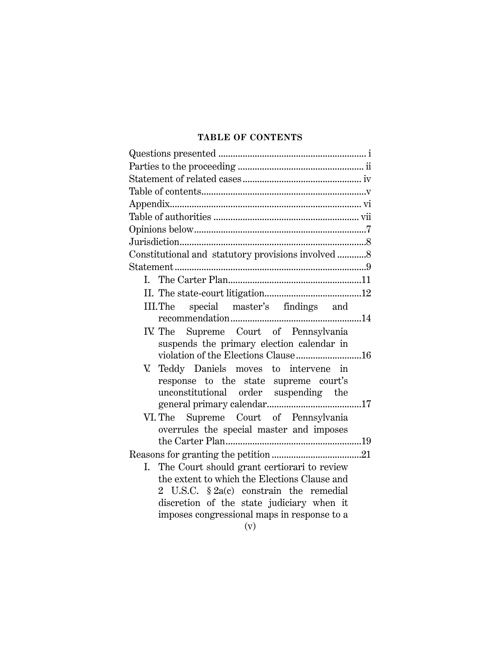### **TABLE OF CONTENTS**

| Constitutional and statutory provisions involved 8                                       |  |
|------------------------------------------------------------------------------------------|--|
|                                                                                          |  |
|                                                                                          |  |
|                                                                                          |  |
| special master's findings and<br>III.The                                                 |  |
|                                                                                          |  |
| IV. The Supreme Court of Pennsylvania                                                    |  |
| suspends the primary election calendar in                                                |  |
| violation of the Elections Clause16                                                      |  |
| V. Teddy Daniels moves to intervene in                                                   |  |
| response to the state supreme court's                                                    |  |
| unconstitutional order suspending the                                                    |  |
|                                                                                          |  |
| VI. The Supreme Court of Pennsylvania                                                    |  |
| overrules the special master and imposes                                                 |  |
|                                                                                          |  |
|                                                                                          |  |
| The Court should grant certiorari to review<br>Ι.                                        |  |
| the extent to which the Elections Clause and                                             |  |
| 2 U.S.C. $$2a(c)$ constrain the remedial                                                 |  |
| discretion of the state judiciary when it<br>imposes congressional maps in response to a |  |
| $\sim$ $\sim$ $\sim$                                                                     |  |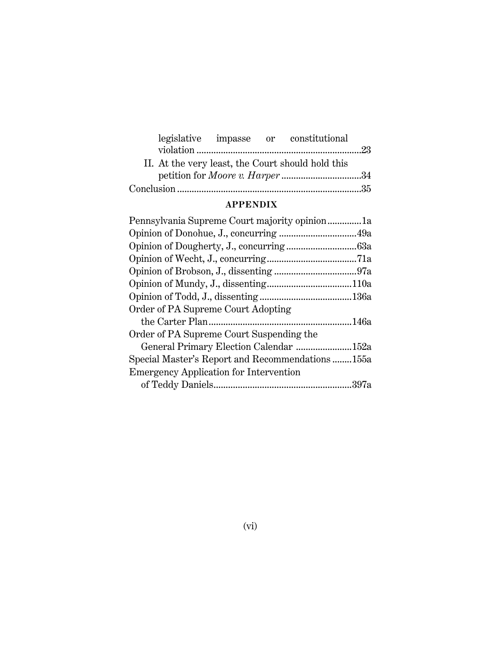|  | legislative impasse or constitutional                                                       |  |
|--|---------------------------------------------------------------------------------------------|--|
|  |                                                                                             |  |
|  | II. At the very least, the Court should hold this<br>petition for <i>Moore v. Harper</i> 34 |  |
|  |                                                                                             |  |

## **APPENDIX**

| Pennsylvania Supreme Court majority opinion1a   |  |
|-------------------------------------------------|--|
|                                                 |  |
|                                                 |  |
|                                                 |  |
|                                                 |  |
|                                                 |  |
|                                                 |  |
| Order of PA Supreme Court Adopting              |  |
|                                                 |  |
| Order of PA Supreme Court Suspending the        |  |
| General Primary Election Calendar 152a          |  |
| Special Master's Report and Recommendations155a |  |
| <b>Emergency Application for Intervention</b>   |  |
|                                                 |  |
|                                                 |  |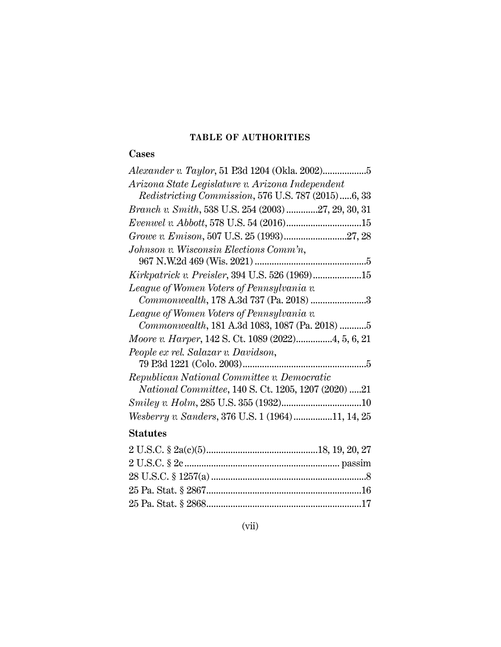## **TABLE OF AUTHORITIES**

## **Cases**

| Arizona State Legislature v. Arizona Independent            |
|-------------------------------------------------------------|
| Redistricting Commission, 576 U.S. 787 (2015)6, 33          |
| <i>Branch v. Smith</i> , 538 U.S. 254 (2003) 27, 29, 30, 31 |
|                                                             |
| Growe v. Emison, 507 U.S. 25 (1993)27, 28                   |
| Johnson v. Wisconsin Elections Comm'n,                      |
|                                                             |
|                                                             |
| League of Women Voters of Pennsylvania v.                   |
| Commonwealth, 178 A.3d 737 (Pa. 2018) 3                     |
| League of Women Voters of Pennsylvania v.                   |
| Commonwealth, 181 A.3d 1083, 1087 (Pa. 2018) 5              |
| Moore v. Harper, 142 S. Ct. 1089 (2022)4, 5, 6, 21          |
| People ex rel. Salazar v. Davidson,                         |
|                                                             |
| Republican National Committee v. Democratic                 |
| <i>National Committee, 140 S. Ct. 1205, 1207 (2020) 21</i>  |
|                                                             |
| Wesberry v. Sanders, 376 U.S. 1 (1964)11, 14, 25            |

## **Statutes**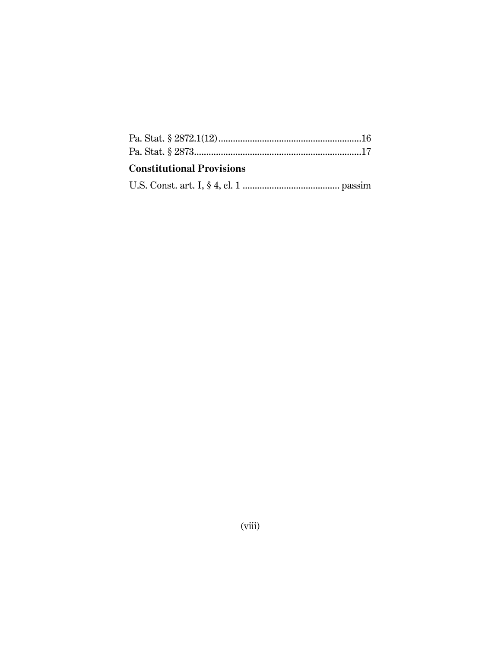| <b>Constitutional Provisions</b> |  |
|----------------------------------|--|
|                                  |  |
|                                  |  |

 $(viii)$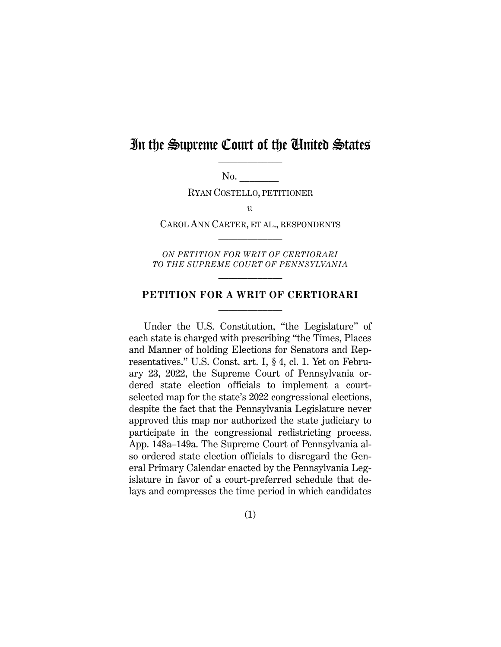## In the Supreme Court of the Chuited States

No. **\_\_\_\_\_\_\_\_**

RYAN COSTELLO, PETITIONER

*v.*

CAROL ANN CARTER, ET AL., RESPONDENTS  $\mathcal{L}_\text{max}$ 

*ON PETITION FOR WRIT OF CERTIORARI TO THE SUPREME COURT OF PENNSYLVANIA*  $\mathcal{L}_\text{max}$ 

#### **PETITION FOR A WRIT OF CERTIORARI**  $\mathcal{L}_\text{max}$

Under the U.S. Constitution, "the Legislature" of each state is charged with prescribing "the Times, Places and Manner of holding Elections for Senators and Representatives." U.S. Const. art. I, § 4, cl. 1. Yet on February 23, 2022, the Supreme Court of Pennsylvania ordered state election officials to implement a courtselected map for the state's 2022 congressional elections, despite the fact that the Pennsylvania Legislature never approved this map nor authorized the state judiciary to participate in the congressional redistricting process. App. 148a–149a. The Supreme Court of Pennsylvania also ordered state election officials to disregard the General Primary Calendar enacted by the Pennsylvania Legislature in favor of a court-preferred schedule that delays and compresses the time period in which candidates

(1)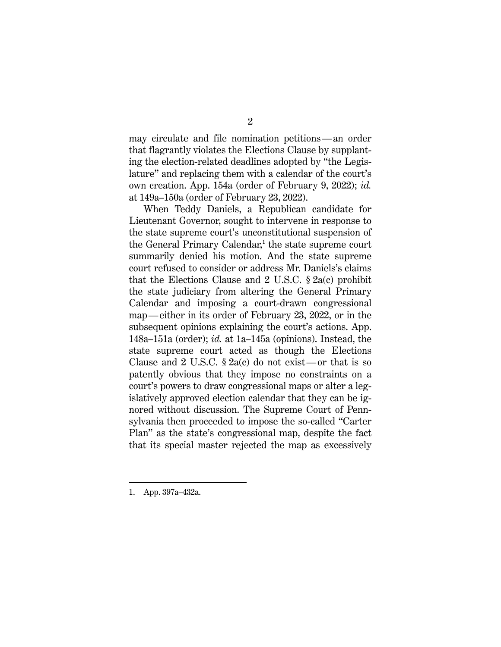may circulate and file nomination petitions—an order that flagrantly violates the Elections Clause by supplanting the election-related deadlines adopted by "the Legislature" and replacing them with a calendar of the court's own creation. App. 154a (order of February 9, 2022); *id.* at 149a–150a (order of February 23, 2022).

When Teddy Daniels, a Republican candidate for Lieutenant Governor, sought to intervene in response to the state supreme court's unconstitutional suspension of the General Primary Calendar, <sup>1</sup> the state supreme court summarily denied his motion. And the state supreme court refused to consider or address Mr. Daniels's claims that the Elections Clause and 2 U.S.C. § 2a(c) prohibit the state judiciary from altering the General Primary Calendar and imposing a court-drawn congressional map—either in its order of February 23, 2022, or in the subsequent opinions explaining the court's actions. App. 148a–151a (order); *id.* at 1a–145a (opinions). Instead, the state supreme court acted as though the Elections Clause and 2 U.S.C.  $\S 2a(c)$  do not exist—or that is so patently obvious that they impose no constraints on a court's powers to draw congressional maps or alter a legislatively approved election calendar that they can be ignored without discussion. The Supreme Court of Pennsylvania then proceeded to impose the so-called "Carter Plan" as the state's congressional map, despite the fact that its special master rejected the map as excessively

<sup>1.</sup> App. 397a–432a.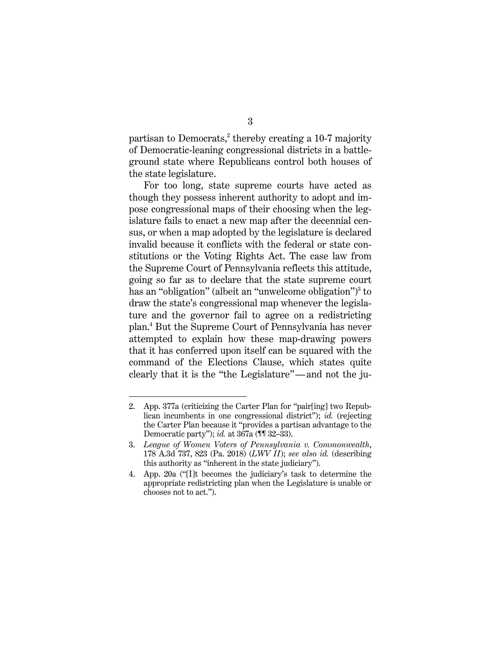partisan to Democrats, $2$  thereby creating a 10-7 majority of Democratic-leaning congressional districts in a battleground state where Republicans control both houses of the state legislature.

For too long, state supreme courts have acted as though they possess inherent authority to adopt and impose congressional maps of their choosing when the legislature fails to enact a new map after the decennial census, or when a map adopted by the legislature is declared invalid because it conflicts with the federal or state constitutions or the Voting Rights Act. The case law from the Supreme Court of Pennsylvania reflects this attitude, going so far as to declare that the state supreme court has an "obligation" (albeit an "unwelcome obligation")<sup>3</sup> to draw the state's congressional map whenever the legislature and the governor fail to agree on a redistricting plan.4 But the Supreme Court of Pennsylvania has never attempted to explain how these map-drawing powers that it has conferred upon itself can be squared with the command of the Elections Clause, which states quite clearly that it is the "the Legislature"—and not the ju-

<sup>2.</sup> App. 377a (criticizing the Carter Plan for "pair[ing] two Republican incumbents in one congressional district"); *id.* (rejecting the Carter Plan because it "provides a partisan advantage to the Democratic party"); *id.* at 367a (¶¶ 32–33).

<sup>3.</sup> *League of Women Voters of Pennsylvania v. Commonwealth*, 178 A.3d 737, 823 (Pa. 2018) (*LWV II*); *see also id.* (describing this authority as "inherent in the state judiciary").

<sup>4.</sup> App. 20a ("[I]t becomes the judiciary's task to determine the appropriate redistricting plan when the Legislature is unable or chooses not to act.").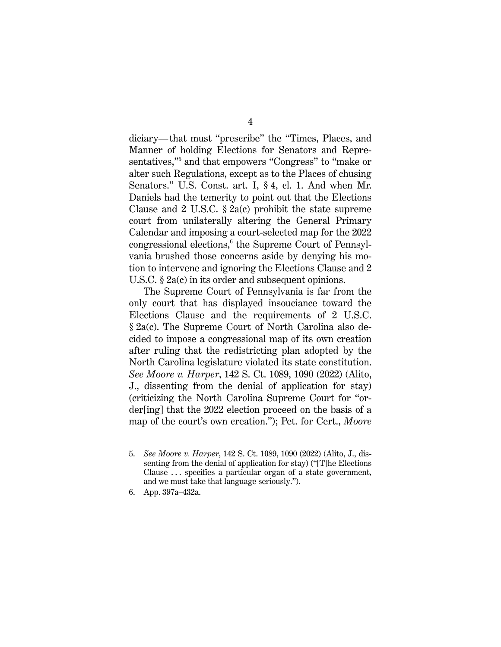diciary—that must "prescribe" the "Times, Places, and Manner of holding Elections for Senators and Representatives,"<sup>5</sup> and that empowers "Congress" to "make or alter such Regulations, except as to the Places of chusing Senators." U.S. Const. art. I, § 4, cl. 1. And when Mr. Daniels had the temerity to point out that the Elections Clause and 2 U.S.C.  $\S$  2a(c) prohibit the state supreme court from unilaterally altering the General Primary Calendar and imposing a court-selected map for the 2022 congressional elections, $6$  the Supreme Court of Pennsylvania brushed those concerns aside by denying his motion to intervene and ignoring the Elections Clause and 2 U.S.C. § 2a(c) in its order and subsequent opinions.

The Supreme Court of Pennsylvania is far from the only court that has displayed insouciance toward the Elections Clause and the requirements of 2 U.S.C. § 2a(c). The Supreme Court of North Carolina also decided to impose a congressional map of its own creation after ruling that the redistricting plan adopted by the North Carolina legislature violated its state constitution. *See Moore v. Harper*, 142 S. Ct. 1089, 1090 (2022) (Alito, J., dissenting from the denial of application for stay) (criticizing the North Carolina Supreme Court for "order[ing] that the 2022 election proceed on the basis of a map of the court's own creation."); Pet. for Cert., *Moore* 

<sup>5.</sup> *See Moore v. Harper*, 142 S. Ct. 1089, 1090 (2022) (Alito, J., dissenting from the denial of application for stay) ("[T]he Elections Clause ... specifies a particular organ of a state government, and we must take that language seriously.").

<sup>6.</sup> App. 397a–432a.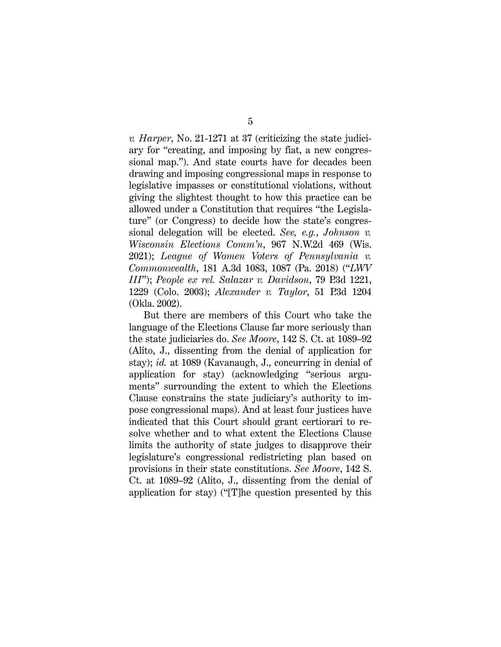*v. Harper*, No. 21-1271 at 37 (criticizing the state judiciary for "creating, and imposing by fiat, a new congressional map."). And state courts have for decades been drawing and imposing congressional maps in response to legislative impasses or constitutional violations, without giving the slightest thought to how this practice can be allowed under a Constitution that requires "the Legislature" (or Congress) to decide how the state's congressional delegation will be elected. *See, e.g.*, *Johnson v. Wisconsin Elections Comm'n*, 967 N.W.2d 469 (Wis. 2021); *League of Women Voters of Pennsylvania v. Commonwealth*, 181 A.3d 1083, 1087 (Pa. 2018) ("*LWV III*"); *People ex rel. Salazar v. Davidson*, 79 P.3d 1221, 1229 (Colo. 2003); *Alexander v. Taylor*, 51 P.3d 1204 (Okla. 2002).

But there are members of this Court who take the language of the Elections Clause far more seriously than the state judiciaries do. *See Moore*, 142 S. Ct. at 1089–92 (Alito, J., dissenting from the denial of application for stay); *id.* at 1089 (Kavanaugh, J., concurring in denial of application for stay) (acknowledging "serious arguments" surrounding the extent to which the Elections Clause constrains the state judiciary's authority to impose congressional maps). And at least four justices have indicated that this Court should grant certiorari to resolve whether and to what extent the Elections Clause limits the authority of state judges to disapprove their legislature's congressional redistricting plan based on provisions in their state constitutions. *See Moore*, 142 S. Ct. at 1089–92 (Alito, J., dissenting from the denial of application for stay) ("[T]he question presented by this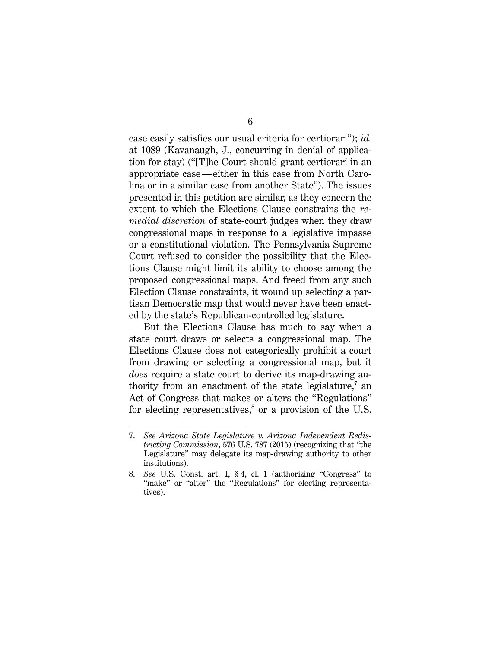case easily satisfies our usual criteria for certiorari"); *id.* at 1089 (Kavanaugh, J., concurring in denial of application for stay) ("[T]he Court should grant certiorari in an appropriate case—either in this case from North Carolina or in a similar case from another State"). The issues presented in this petition are similar, as they concern the extent to which the Elections Clause constrains the *remedial discretion* of state-court judges when they draw congressional maps in response to a legislative impasse or a constitutional violation. The Pennsylvania Supreme Court refused to consider the possibility that the Elections Clause might limit its ability to choose among the proposed congressional maps. And freed from any such Election Clause constraints, it wound up selecting a partisan Democratic map that would never have been enacted by the state's Republican-controlled legislature.

But the Elections Clause has much to say when a state court draws or selects a congressional map. The Elections Clause does not categorically prohibit a court from drawing or selecting a congressional map, but it *does* require a state court to derive its map-drawing authority from an enactment of the state legislature, $\bar{a}$  an Act of Congress that makes or alters the "Regulations" for electing representatives,<sup>8</sup> or a provision of the U.S.

<sup>7.</sup> *See Arizona State Legislature v. Arizona Independent Redistricting Commission*, 576 U.S. 787 (2015) (recognizing that "the Legislature" may delegate its map-drawing authority to other institutions).

<sup>8.</sup> *See* U.S. Const. art. I, § 4, cl. 1 (authorizing "Congress" to "make" or "alter" the "Regulations" for electing representatives).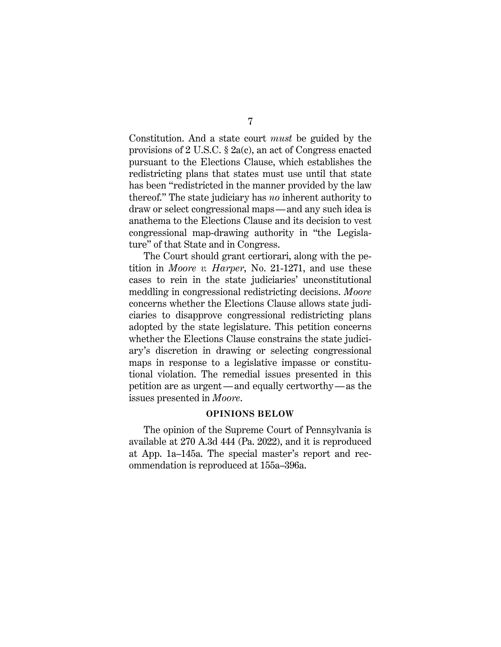Constitution. And a state court *must* be guided by the provisions of 2 U.S.C. § 2a(c), an act of Congress enacted pursuant to the Elections Clause, which establishes the redistricting plans that states must use until that state has been "redistricted in the manner provided by the law thereof." The state judiciary has *no* inherent authority to draw or select congressional maps—and any such idea is anathema to the Elections Clause and its decision to vest congressional map-drawing authority in "the Legislature" of that State and in Congress.

The Court should grant certiorari, along with the petition in *Moore v. Harper*, No. 21-1271, and use these cases to rein in the state judiciaries' unconstitutional meddling in congressional redistricting decisions. *Moore* concerns whether the Elections Clause allows state judiciaries to disapprove congressional redistricting plans adopted by the state legislature. This petition concerns whether the Elections Clause constrains the state judiciary's discretion in drawing or selecting congressional maps in response to a legislative impasse or constitutional violation. The remedial issues presented in this petition are as urgent—and equally certworthy—as the issues presented in *Moore*.

#### **OPINIONS BELOW**

The opinion of the Supreme Court of Pennsylvania is available at 270 A.3d 444 (Pa. 2022), and it is reproduced at App. 1a–145a. The special master's report and recommendation is reproduced at 155a–396a.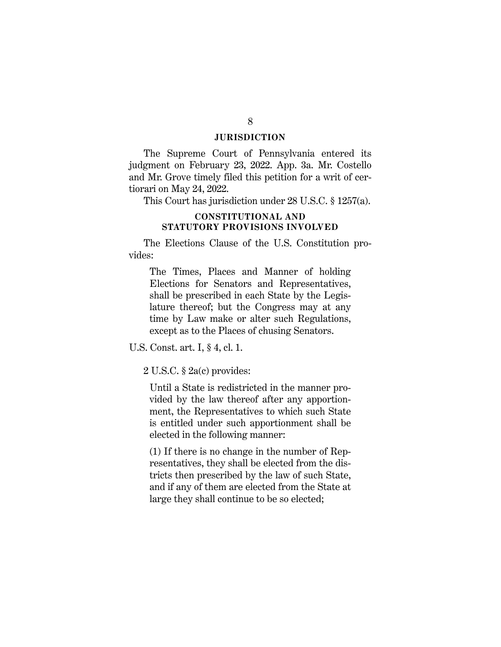#### **JURISDICTION**

The Supreme Court of Pennsylvania entered its judgment on February 23, 2022. App. 3a. Mr. Costello and Mr. Grove timely filed this petition for a writ of certiorari on May 24, 2022.

This Court has jurisdiction under 28 U.S.C. § 1257(a).

#### **CONSTITUTIONAL AND STATUTORY PROVISIONS INVOLVED**

The Elections Clause of the U.S. Constitution provides:

The Times, Places and Manner of holding Elections for Senators and Representatives, shall be prescribed in each State by the Legislature thereof; but the Congress may at any time by Law make or alter such Regulations, except as to the Places of chusing Senators.

U.S. Const. art. I, § 4, cl. 1.

2 U.S.C. § 2a(c) provides:

Until a State is redistricted in the manner provided by the law thereof after any apportionment, the Representatives to which such State is entitled under such apportionment shall be elected in the following manner:

(1) If there is no change in the number of Representatives, they shall be elected from the districts then prescribed by the law of such State, and if any of them are elected from the State at large they shall continue to be so elected;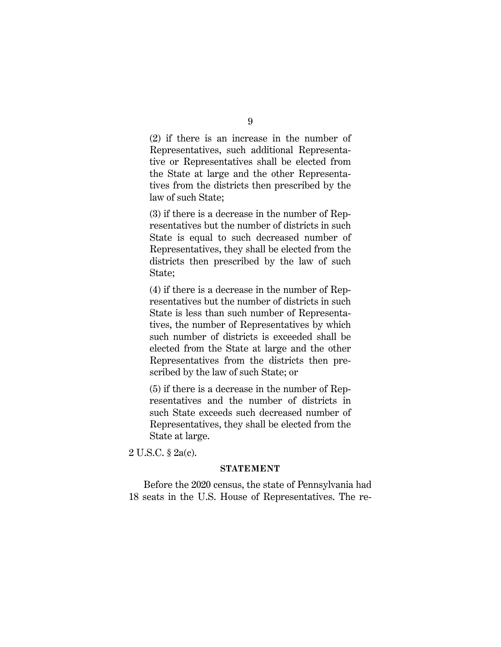(2) if there is an increase in the number of Representatives, such additional Representative or Representatives shall be elected from the State at large and the other Representatives from the districts then prescribed by the law of such State;

(3) if there is a decrease in the number of Representatives but the number of districts in such State is equal to such decreased number of Representatives, they shall be elected from the districts then prescribed by the law of such State;

(4) if there is a decrease in the number of Representatives but the number of districts in such State is less than such number of Representatives, the number of Representatives by which such number of districts is exceeded shall be elected from the State at large and the other Representatives from the districts then prescribed by the law of such State; or

(5) if there is a decrease in the number of Representatives and the number of districts in such State exceeds such decreased number of Representatives, they shall be elected from the State at large.

2 U.S.C. § 2a(c).

#### **STATEMENT**

Before the 2020 census, the state of Pennsylvania had 18 seats in the U.S. House of Representatives. The re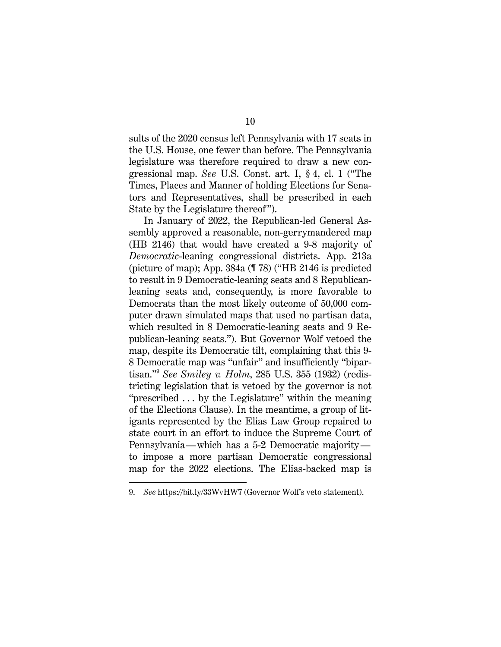sults of the 2020 census left Pennsylvania with 17 seats in the U.S. House, one fewer than before. The Pennsylvania legislature was therefore required to draw a new congressional map. *See* U.S. Const. art. I, § 4, cl. 1 ("The Times, Places and Manner of holding Elections for Senators and Representatives, shall be prescribed in each State by the Legislature thereof ").

In January of 2022, the Republican-led General Assembly approved a reasonable, non-gerrymandered map (HB 2146) that would have created a 9-8 majority of *Democratic*-leaning congressional districts. App. 213a (picture of map); App. 384a (¶ 78) ("HB 2146 is predicted to result in 9 Democratic-leaning seats and 8 Republicanleaning seats and, consequently, is more favorable to Democrats than the most likely outcome of 50,000 computer drawn simulated maps that used no partisan data, which resulted in 8 Democratic-leaning seats and 9 Republican-leaning seats."). But Governor Wolf vetoed the map, despite its Democratic tilt, complaining that this 9- 8 Democratic map was "unfair" and insufficiently "bipartisan."9 *See Smiley v. Holm*, 285 U.S. 355 (1932) (redistricting legislation that is vetoed by the governor is not "prescribed . . . by the Legislature" within the meaning of the Elections Clause). In the meantime, a group of litigants represented by the Elias Law Group repaired to state court in an effort to induce the Supreme Court of Pennsylvania—which has a 5-2 Democratic majority to impose a more partisan Democratic congressional map for the 2022 elections. The Elias-backed map is

<sup>9.</sup> *See* https://bit.ly/33WvHW7 (Governor Wolf's veto statement).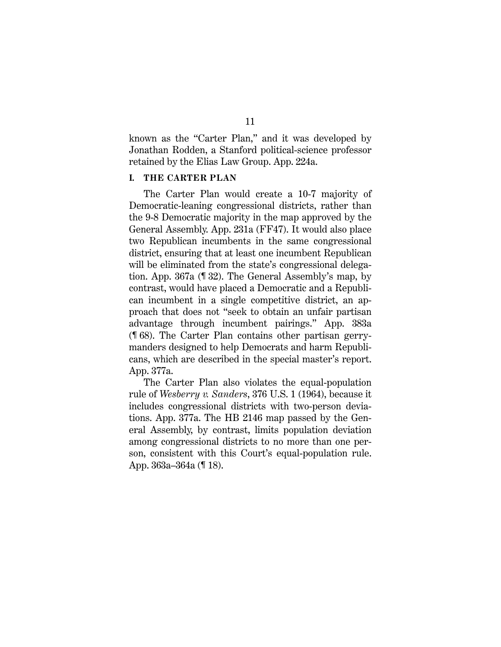known as the "Carter Plan," and it was developed by Jonathan Rodden, a Stanford political-science professor retained by the Elias Law Group. App. 224a.

#### **I. THE CARTER PLAN**

The Carter Plan would create a 10-7 majority of Democratic-leaning congressional districts, rather than the 9-8 Democratic majority in the map approved by the General Assembly. App. 231a (FF47). It would also place two Republican incumbents in the same congressional district, ensuring that at least one incumbent Republican will be eliminated from the state's congressional delegation. App. 367a (¶ 32). The General Assembly's map, by contrast, would have placed a Democratic and a Republican incumbent in a single competitive district, an approach that does not "seek to obtain an unfair partisan advantage through incumbent pairings." App. 383a (¶ 68). The Carter Plan contains other partisan gerrymanders designed to help Democrats and harm Republicans, which are described in the special master's report. App. 377a.

The Carter Plan also violates the equal-population rule of *Wesberry v. Sanders*, 376 U.S. 1 (1964), because it includes congressional districts with two-person deviations. App. 377a. The HB 2146 map passed by the General Assembly, by contrast, limits population deviation among congressional districts to no more than one person, consistent with this Court's equal-population rule. App. 363a–364a (¶ 18).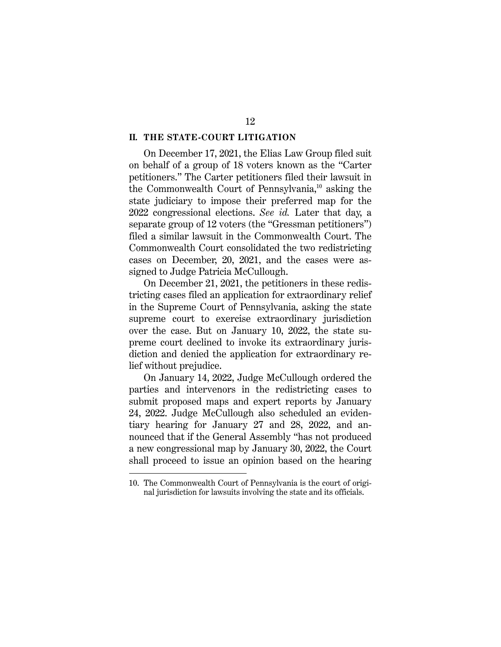#### **II. THE STATE-COURT LITIGATION**

On December 17, 2021, the Elias Law Group filed suit on behalf of a group of 18 voters known as the "Carter petitioners." The Carter petitioners filed their lawsuit in the Commonwealth Court of Pennsylvania, $^{10}$  asking the state judiciary to impose their preferred map for the 2022 congressional elections. *See id.* Later that day, a separate group of 12 voters (the "Gressman petitioners") filed a similar lawsuit in the Commonwealth Court. The Commonwealth Court consolidated the two redistricting cases on December, 20, 2021, and the cases were assigned to Judge Patricia McCullough.

On December 21, 2021, the petitioners in these redistricting cases filed an application for extraordinary relief in the Supreme Court of Pennsylvania, asking the state supreme court to exercise extraordinary jurisdiction over the case. But on January 10, 2022, the state supreme court declined to invoke its extraordinary jurisdiction and denied the application for extraordinary relief without prejudice.

On January 14, 2022, Judge McCullough ordered the parties and intervenors in the redistricting cases to submit proposed maps and expert reports by January 24, 2022. Judge McCullough also scheduled an evidentiary hearing for January 27 and 28, 2022, and announced that if the General Assembly "has not produced a new congressional map by January 30, 2022, the Court shall proceed to issue an opinion based on the hearing

<sup>10.</sup> The Commonwealth Court of Pennsylvania is the court of original jurisdiction for lawsuits involving the state and its officials.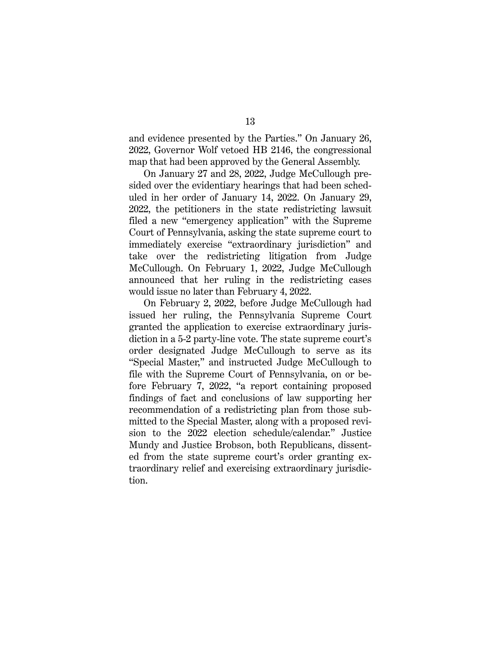and evidence presented by the Parties." On January 26, 2022, Governor Wolf vetoed HB 2146, the congressional map that had been approved by the General Assembly.

On January 27 and 28, 2022, Judge McCullough presided over the evidentiary hearings that had been scheduled in her order of January 14, 2022. On January 29, 2022, the petitioners in the state redistricting lawsuit filed a new "emergency application" with the Supreme Court of Pennsylvania, asking the state supreme court to immediately exercise "extraordinary jurisdiction" and take over the redistricting litigation from Judge McCullough. On February 1, 2022, Judge McCullough announced that her ruling in the redistricting cases would issue no later than February 4, 2022.

On February 2, 2022, before Judge McCullough had issued her ruling, the Pennsylvania Supreme Court granted the application to exercise extraordinary jurisdiction in a 5-2 party-line vote. The state supreme court's order designated Judge McCullough to serve as its "Special Master," and instructed Judge McCullough to file with the Supreme Court of Pennsylvania, on or before February 7, 2022, "a report containing proposed findings of fact and conclusions of law supporting her recommendation of a redistricting plan from those submitted to the Special Master, along with a proposed revision to the 2022 election schedule/calendar." Justice Mundy and Justice Brobson, both Republicans, dissented from the state supreme court's order granting extraordinary relief and exercising extraordinary jurisdiction.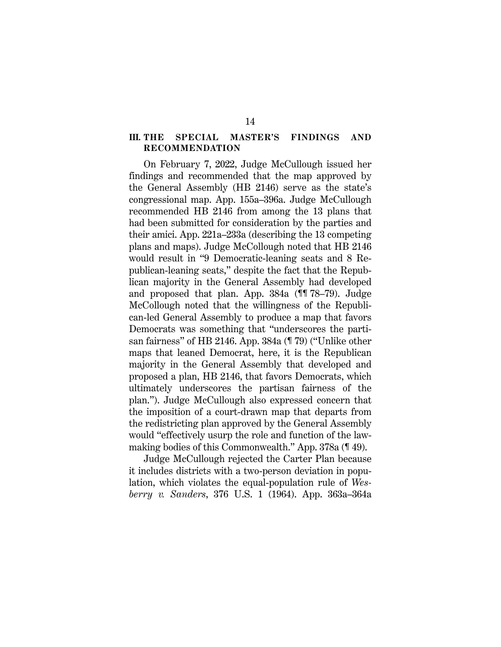#### **III. THE SPECIAL MASTER'S FINDINGS AND RECOMMENDATION**

On February 7, 2022, Judge McCullough issued her findings and recommended that the map approved by the General Assembly (HB 2146) serve as the state's congressional map. App. 155a–396a. Judge McCullough recommended HB 2146 from among the 13 plans that had been submitted for consideration by the parties and their amici. App. 221a–233a (describing the 13 competing plans and maps). Judge McCollough noted that HB 2146 would result in "9 Democratic-leaning seats and 8 Republican-leaning seats," despite the fact that the Republican majority in the General Assembly had developed and proposed that plan. App. 384a (¶¶ 78–79). Judge McCollough noted that the willingness of the Republican-led General Assembly to produce a map that favors Democrats was something that "underscores the partisan fairness" of HB 2146. App. 384a (¶ 79) ("Unlike other maps that leaned Democrat, here, it is the Republican majority in the General Assembly that developed and proposed a plan, HB 2146, that favors Democrats, which ultimately underscores the partisan fairness of the plan."). Judge McCullough also expressed concern that the imposition of a court-drawn map that departs from the redistricting plan approved by the General Assembly would "effectively usurp the role and function of the lawmaking bodies of this Commonwealth." App. 378a (¶ 49).

Judge McCullough rejected the Carter Plan because it includes districts with a two-person deviation in population, which violates the equal-population rule of *Wesberry v. Sanders*, 376 U.S. 1 (1964). App. 363a–364a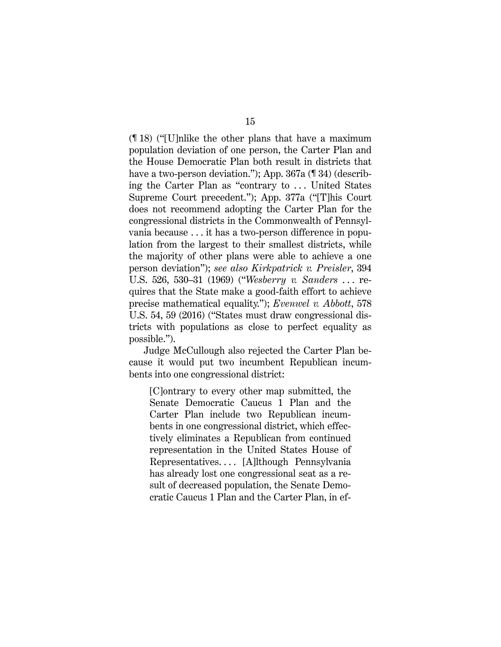(¶ 18) ("[U]nlike the other plans that have a maximum population deviation of one person, the Carter Plan and the House Democratic Plan both result in districts that have a two-person deviation."); App. 367a (¶ 34) (describing the Carter Plan as "contrary to ... United States" Supreme Court precedent."); App. 377a ("[T]his Court does not recommend adopting the Carter Plan for the congressional districts in the Commonwealth of Pennsylvania because . . . it has a two-person difference in population from the largest to their smallest districts, while the majority of other plans were able to achieve a one person deviation"); *see also Kirkpatrick v. Preisler*, 394 U.S. 526, 530–31 (1969) ("*Wesberry v. Sanders* . . . requires that the State make a good-faith effort to achieve precise mathematical equality."); *Evenwel v. Abbott*, 578 U.S. 54, 59 (2016) ("States must draw congressional districts with populations as close to perfect equality as possible.").

Judge McCullough also rejected the Carter Plan because it would put two incumbent Republican incumbents into one congressional district:

[C]ontrary to every other map submitted, the Senate Democratic Caucus 1 Plan and the Carter Plan include two Republican incumbents in one congressional district, which effectively eliminates a Republican from continued representation in the United States House of Representatives. . . . [A]lthough Pennsylvania has already lost one congressional seat as a result of decreased population, the Senate Democratic Caucus 1 Plan and the Carter Plan, in ef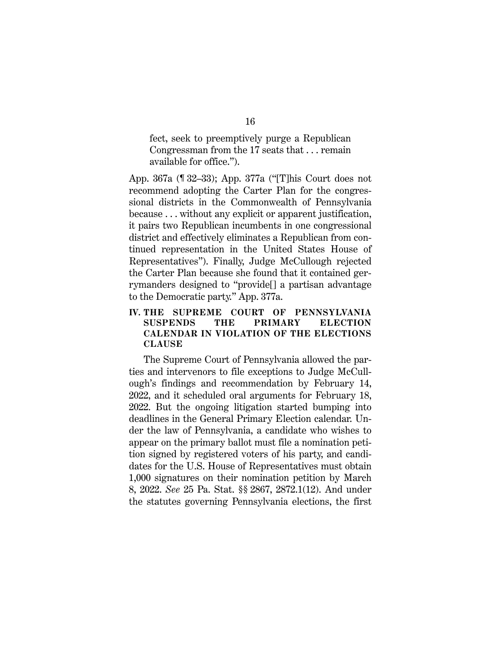fect, seek to preemptively purge a Republican Congressman from the 17 seats that . . . remain available for office.").

App. 367a (¶ 32–33); App. 377a ("[T]his Court does not recommend adopting the Carter Plan for the congressional districts in the Commonwealth of Pennsylvania because . . . without any explicit or apparent justification, it pairs two Republican incumbents in one congressional district and effectively eliminates a Republican from continued representation in the United States House of Representatives"). Finally, Judge McCullough rejected the Carter Plan because she found that it contained gerrymanders designed to "provide[] a partisan advantage to the Democratic party." App. 377a.

#### **IV. THE SUPREME COURT OF PENNSYLVANIA SUSPENDS THE PRIMARY ELECTION CALENDAR IN VIOLATION OF THE ELECTIONS CLAUSE**

The Supreme Court of Pennsylvania allowed the parties and intervenors to file exceptions to Judge McCullough's findings and recommendation by February 14, 2022, and it scheduled oral arguments for February 18, 2022. But the ongoing litigation started bumping into deadlines in the General Primary Election calendar. Under the law of Pennsylvania, a candidate who wishes to appear on the primary ballot must file a nomination petition signed by registered voters of his party, and candidates for the U.S. House of Representatives must obtain 1,000 signatures on their nomination petition by March 8, 2022. *See* 25 Pa. Stat. §§ 2867, 2872.1(12). And under the statutes governing Pennsylvania elections, the first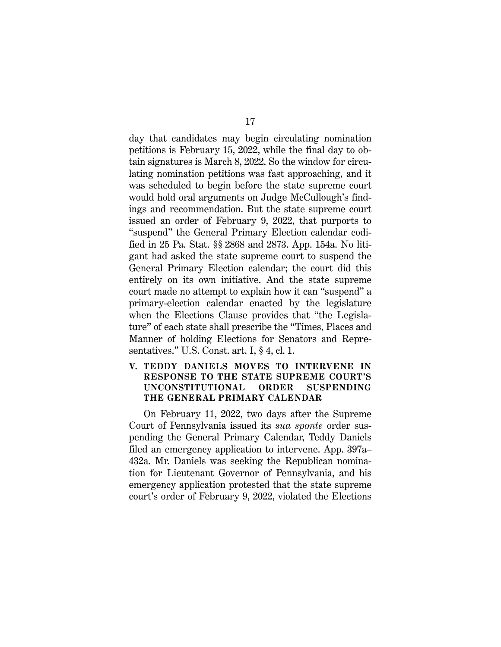day that candidates may begin circulating nomination petitions is February 15, 2022, while the final day to obtain signatures is March 8, 2022. So the window for circulating nomination petitions was fast approaching, and it was scheduled to begin before the state supreme court would hold oral arguments on Judge McCullough's findings and recommendation. But the state supreme court issued an order of February 9, 2022, that purports to "suspend" the General Primary Election calendar codified in 25 Pa. Stat. §§ 2868 and 2873. App. 154a. No litigant had asked the state supreme court to suspend the General Primary Election calendar; the court did this entirely on its own initiative. And the state supreme court made no attempt to explain how it can "suspend" a primary-election calendar enacted by the legislature when the Elections Clause provides that "the Legislature" of each state shall prescribe the "Times, Places and Manner of holding Elections for Senators and Representatives." U.S. Const. art. I, § 4, cl. 1.

#### **V. TEDDY DANIELS MOVES TO INTERVENE IN RESPONSE TO THE STATE SUPREME COURT'S UNCONSTITUTIONAL ORDER SUSPENDING THE GENERAL PRIMARY CALENDAR**

On February 11, 2022, two days after the Supreme Court of Pennsylvania issued its *sua sponte* order suspending the General Primary Calendar, Teddy Daniels filed an emergency application to intervene. App. 397a– 432a. Mr. Daniels was seeking the Republican nomination for Lieutenant Governor of Pennsylvania, and his emergency application protested that the state supreme court's order of February 9, 2022, violated the Elections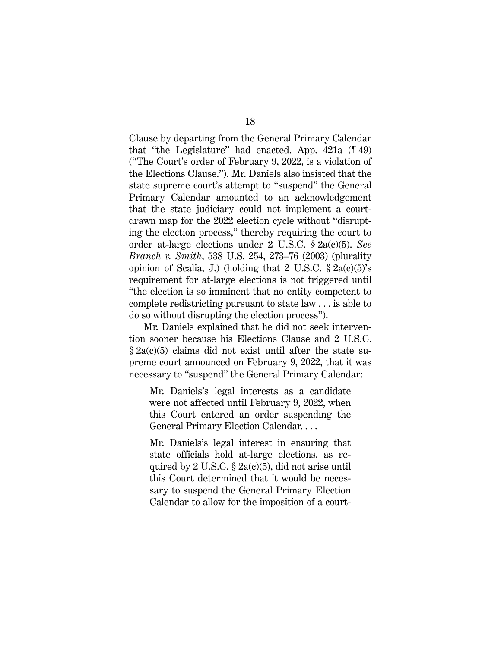Clause by departing from the General Primary Calendar that "the Legislature" had enacted. App. 421a (¶ 49) ("The Court's order of February 9, 2022, is a violation of the Elections Clause."). Mr. Daniels also insisted that the state supreme court's attempt to "suspend" the General Primary Calendar amounted to an acknowledgement that the state judiciary could not implement a courtdrawn map for the 2022 election cycle without "disrupting the election process," thereby requiring the court to order at-large elections under 2 U.S.C. § 2a(c)(5). *See Branch v. Smith*, 538 U.S. 254, 273–76 (2003) (plurality opinion of Scalia, J.) (holding that 2 U.S.C.  $\S 2a(c)(5)$ 's requirement for at-large elections is not triggered until "the election is so imminent that no entity competent to complete redistricting pursuant to state law . . . is able to do so without disrupting the election process").

Mr. Daniels explained that he did not seek intervention sooner because his Elections Clause and 2 U.S.C. § 2a(c)(5) claims did not exist until after the state supreme court announced on February 9, 2022, that it was necessary to "suspend" the General Primary Calendar:

Mr. Daniels's legal interests as a candidate were not affected until February 9, 2022, when this Court entered an order suspending the General Primary Election Calendar. . . .

Mr. Daniels's legal interest in ensuring that state officials hold at-large elections, as required by 2 U.S.C.  $\S$  2a(c)(5), did not arise until this Court determined that it would be necessary to suspend the General Primary Election Calendar to allow for the imposition of a court-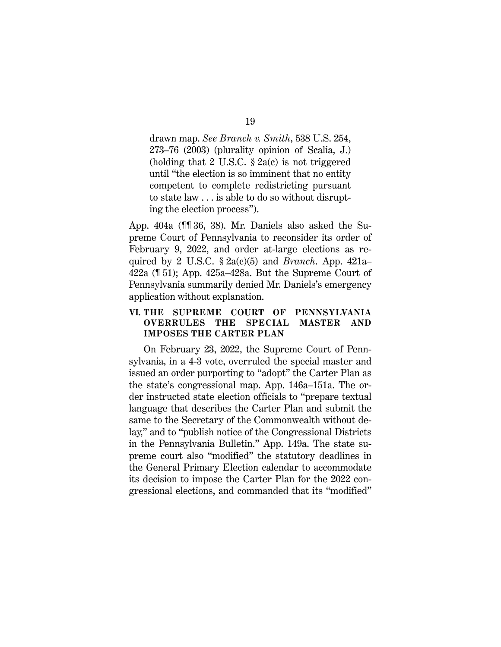drawn map. *See Branch v. Smith*, 538 U.S. 254, 273–76 (2003) (plurality opinion of Scalia, J.) (holding that 2 U.S.C.  $\S$  2a(c) is not triggered until "the election is so imminent that no entity competent to complete redistricting pursuant to state law . . . is able to do so without disrupting the election process").

App. 404a (¶¶ 36, 38). Mr. Daniels also asked the Supreme Court of Pennsylvania to reconsider its order of February 9, 2022, and order at-large elections as required by 2 U.S.C. § 2a(c)(5) and *Branch*. App. 421a– 422a (¶ 51); App. 425a–428a. But the Supreme Court of Pennsylvania summarily denied Mr. Daniels's emergency application without explanation.

#### **VI. THE SUPREME COURT OF PENNSYLVANIA OVERRULES THE SPECIAL MASTER AND IMPOSES THE CARTER PLAN**

On February 23, 2022, the Supreme Court of Pennsylvania, in a 4-3 vote, overruled the special master and issued an order purporting to "adopt" the Carter Plan as the state's congressional map. App. 146a–151a. The order instructed state election officials to "prepare textual language that describes the Carter Plan and submit the same to the Secretary of the Commonwealth without delay," and to "publish notice of the Congressional Districts in the Pennsylvania Bulletin." App. 149a. The state supreme court also "modified" the statutory deadlines in the General Primary Election calendar to accommodate its decision to impose the Carter Plan for the 2022 congressional elections, and commanded that its "modified"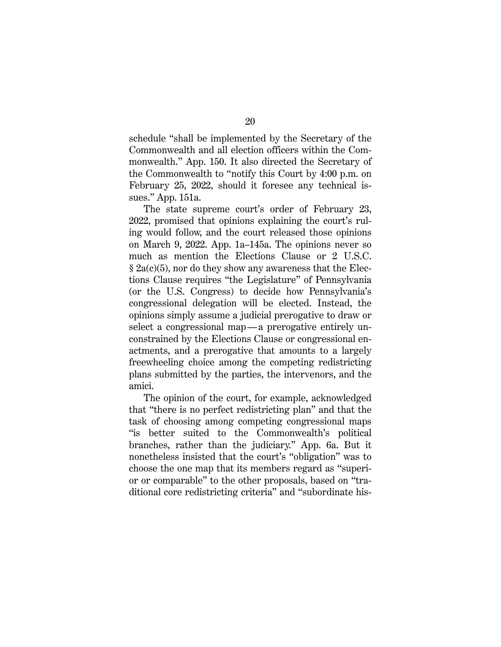schedule "shall be implemented by the Secretary of the Commonwealth and all election officers within the Commonwealth." App. 150. It also directed the Secretary of the Commonwealth to "notify this Court by 4:00 p.m. on February 25, 2022, should it foresee any technical issues." App. 151a.

The state supreme court's order of February 23, 2022, promised that opinions explaining the court's ruling would follow, and the court released those opinions on March 9, 2022. App. 1a–145a. The opinions never so much as mention the Elections Clause or 2 U.S.C.  $\S$  2a(c)(5), nor do they show any awareness that the Elections Clause requires "the Legislature" of Pennsylvania (or the U.S. Congress) to decide how Pennsylvania's congressional delegation will be elected. Instead, the opinions simply assume a judicial prerogative to draw or select a congressional map—a prerogative entirely unconstrained by the Elections Clause or congressional enactments, and a prerogative that amounts to a largely freewheeling choice among the competing redistricting plans submitted by the parties, the intervenors, and the amici.

The opinion of the court, for example, acknowledged that "there is no perfect redistricting plan" and that the task of choosing among competing congressional maps "is better suited to the Commonwealth's political branches, rather than the judiciary." App. 6a. But it nonetheless insisted that the court's "obligation" was to choose the one map that its members regard as "superior or comparable" to the other proposals, based on "traditional core redistricting criteria" and "subordinate his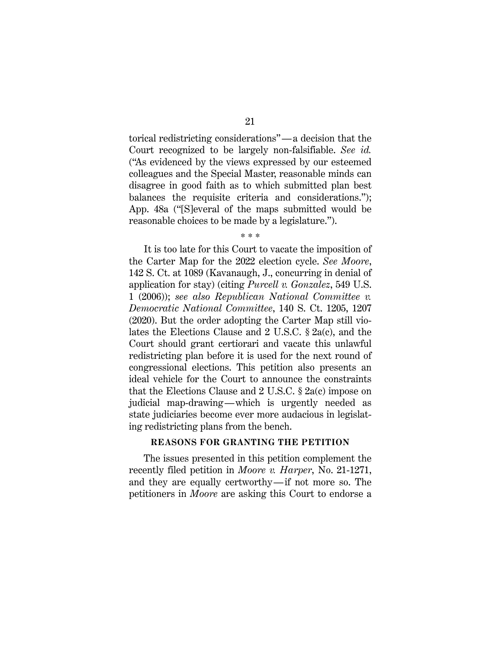torical redistricting considerations"—a decision that the Court recognized to be largely non-falsifiable. *See id.* ("As evidenced by the views expressed by our esteemed colleagues and the Special Master, reasonable minds can disagree in good faith as to which submitted plan best balances the requisite criteria and considerations."); App. 48a ("[S]everal of the maps submitted would be reasonable choices to be made by a legislature.").

\* \* \*

It is too late for this Court to vacate the imposition of the Carter Map for the 2022 election cycle. *See Moore*, 142 S. Ct. at 1089 (Kavanaugh, J., concurring in denial of application for stay) (citing *Purcell v. Gonzalez*, 549 U.S. 1 (2006)); *see also Republican National Committee v. Democratic National Committee*, 140 S. Ct. 1205, 1207 (2020). But the order adopting the Carter Map still violates the Elections Clause and 2 U.S.C. § 2a(c), and the Court should grant certiorari and vacate this unlawful redistricting plan before it is used for the next round of congressional elections. This petition also presents an ideal vehicle for the Court to announce the constraints that the Elections Clause and 2 U.S.C. § 2a(c) impose on judicial map-drawing—which is urgently needed as state judiciaries become ever more audacious in legislating redistricting plans from the bench.

### **REASONS FOR GRANTING THE PETITION**

The issues presented in this petition complement the recently filed petition in *Moore v. Harper*, No. 21-1271, and they are equally certworthy—if not more so. The petitioners in *Moore* are asking this Court to endorse a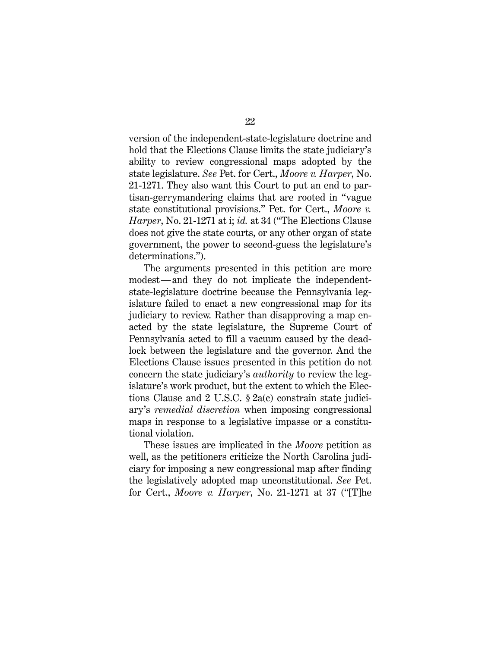version of the independent-state-legislature doctrine and hold that the Elections Clause limits the state judiciary's ability to review congressional maps adopted by the state legislature. *See* Pet. for Cert., *Moore v. Harper*, No. 21-1271. They also want this Court to put an end to partisan-gerrymandering claims that are rooted in "vague state constitutional provisions." Pet. for Cert., *Moore v. Harper*, No. 21-1271 at i; *id.* at 34 ("The Elections Clause does not give the state courts, or any other organ of state government, the power to second-guess the legislature's determinations.").

The arguments presented in this petition are more modest—and they do not implicate the independentstate-legislature doctrine because the Pennsylvania legislature failed to enact a new congressional map for its judiciary to review. Rather than disapproving a map enacted by the state legislature, the Supreme Court of Pennsylvania acted to fill a vacuum caused by the deadlock between the legislature and the governor. And the Elections Clause issues presented in this petition do not concern the state judiciary's *authority* to review the legislature's work product, but the extent to which the Elections Clause and 2 U.S.C. § 2a(c) constrain state judiciary's *remedial discretion* when imposing congressional maps in response to a legislative impasse or a constitutional violation.

These issues are implicated in the *Moore* petition as well, as the petitioners criticize the North Carolina judiciary for imposing a new congressional map after finding the legislatively adopted map unconstitutional. *See* Pet. for Cert., *Moore v. Harper*, No. 21-1271 at 37 ("[T]he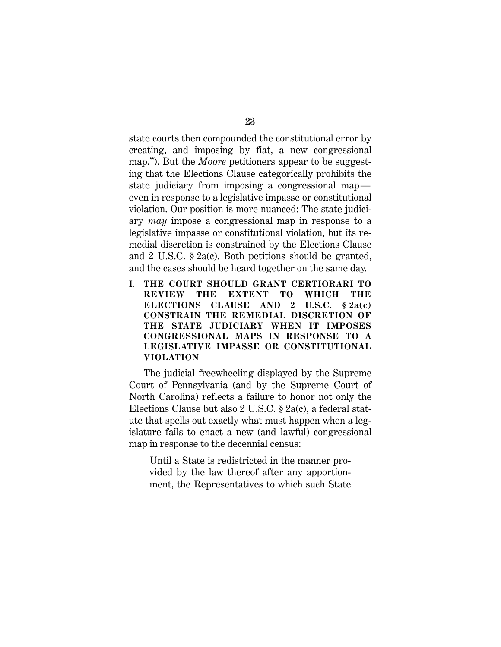state courts then compounded the constitutional error by creating, and imposing by fiat, a new congressional map."). But the *Moore* petitioners appear to be suggesting that the Elections Clause categorically prohibits the state judiciary from imposing a congressional map even in response to a legislative impasse or constitutional violation. Our position is more nuanced: The state judiciary *may* impose a congressional map in response to a legislative impasse or constitutional violation, but its remedial discretion is constrained by the Elections Clause and 2 U.S.C. § 2a(c). Both petitions should be granted, and the cases should be heard together on the same day.

**I. THE COURT SHOULD GRANT CERTIORARI TO REVIEW THE EXTENT TO WHICH THE ELECTIONS CLAUSE AND 2 U.S.C. § 2a(c) CONSTRAIN THE REMEDIAL DISCRETION OF THE STATE JUDICIARY WHEN IT IMPOSES CONGRESSIONAL MAPS IN RESPONSE TO A LEGISLATIVE IMPASSE OR CONSTITUTIONAL VIOLATION**

The judicial freewheeling displayed by the Supreme Court of Pennsylvania (and by the Supreme Court of North Carolina) reflects a failure to honor not only the Elections Clause but also 2 U.S.C. § 2a(c), a federal statute that spells out exactly what must happen when a legislature fails to enact a new (and lawful) congressional map in response to the decennial census:

Until a State is redistricted in the manner provided by the law thereof after any apportionment, the Representatives to which such State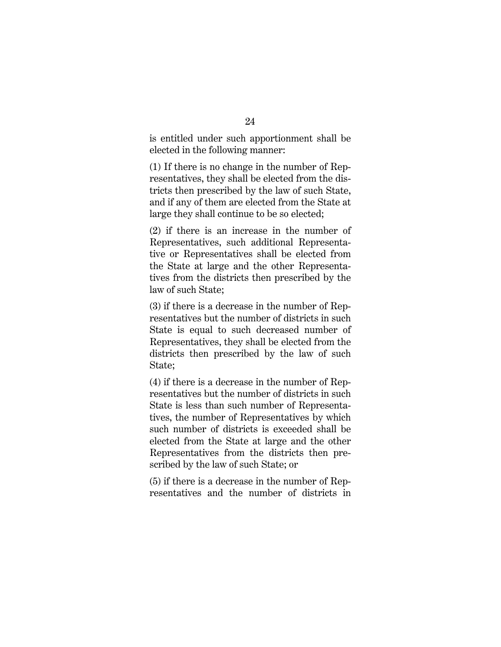is entitled under such apportionment shall be elected in the following manner:

(1) If there is no change in the number of Representatives, they shall be elected from the districts then prescribed by the law of such State, and if any of them are elected from the State at large they shall continue to be so elected;

(2) if there is an increase in the number of Representatives, such additional Representative or Representatives shall be elected from the State at large and the other Representatives from the districts then prescribed by the law of such State;

(3) if there is a decrease in the number of Representatives but the number of districts in such State is equal to such decreased number of Representatives, they shall be elected from the districts then prescribed by the law of such State;

(4) if there is a decrease in the number of Representatives but the number of districts in such State is less than such number of Representatives, the number of Representatives by which such number of districts is exceeded shall be elected from the State at large and the other Representatives from the districts then prescribed by the law of such State; or

(5) if there is a decrease in the number of Representatives and the number of districts in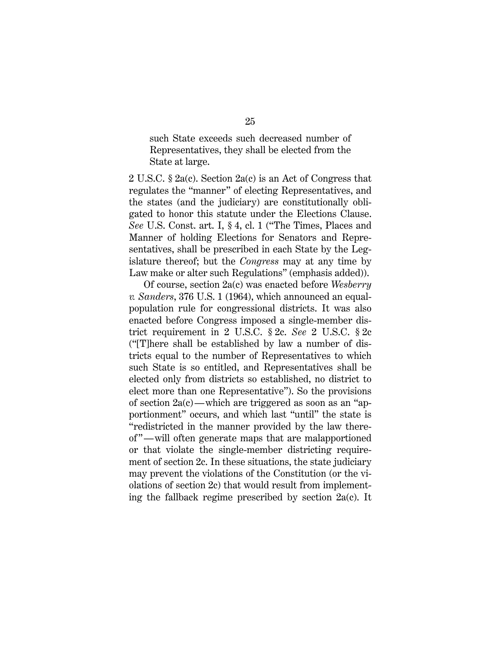such State exceeds such decreased number of Representatives, they shall be elected from the State at large.

2 U.S.C. § 2a(c). Section 2a(c) is an Act of Congress that regulates the "manner" of electing Representatives, and the states (and the judiciary) are constitutionally obligated to honor this statute under the Elections Clause. *See* U.S. Const. art. I, § 4, cl. 1 ("The Times, Places and Manner of holding Elections for Senators and Representatives, shall be prescribed in each State by the Legislature thereof; but the *Congress* may at any time by Law make or alter such Regulations" (emphasis added)).

Of course, section 2a(c) was enacted before *Wesberry v. Sanders*, 376 U.S. 1 (1964), which announced an equalpopulation rule for congressional districts. It was also enacted before Congress imposed a single-member district requirement in 2 U.S.C. § 2c. *See* 2 U.S.C. § 2c ("[T]here shall be established by law a number of districts equal to the number of Representatives to which such State is so entitled, and Representatives shall be elected only from districts so established, no district to elect more than one Representative"). So the provisions of section 2a(c)—which are triggered as soon as an "apportionment" occurs, and which last "until" the state is "redistricted in the manner provided by the law thereof "—will often generate maps that are malapportioned or that violate the single-member districting requirement of section 2c. In these situations, the state judiciary may prevent the violations of the Constitution (or the violations of section 2c) that would result from implementing the fallback regime prescribed by section 2a(c). It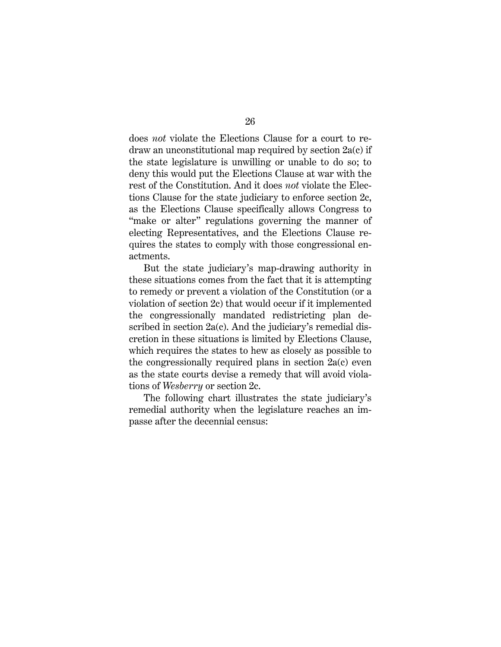does *not* violate the Elections Clause for a court to redraw an unconstitutional map required by section 2a(c) if the state legislature is unwilling or unable to do so; to deny this would put the Elections Clause at war with the rest of the Constitution. And it does *not* violate the Elections Clause for the state judiciary to enforce section 2c, as the Elections Clause specifically allows Congress to "make or alter" regulations governing the manner of electing Representatives, and the Elections Clause requires the states to comply with those congressional enactments.

But the state judiciary's map-drawing authority in these situations comes from the fact that it is attempting to remedy or prevent a violation of the Constitution (or a violation of section 2c) that would occur if it implemented the congressionally mandated redistricting plan described in section 2a(c). And the judiciary's remedial discretion in these situations is limited by Elections Clause, which requires the states to hew as closely as possible to the congressionally required plans in section 2a(c) even as the state courts devise a remedy that will avoid violations of *Wesberry* or section 2c.

The following chart illustrates the state judiciary's remedial authority when the legislature reaches an impasse after the decennial census: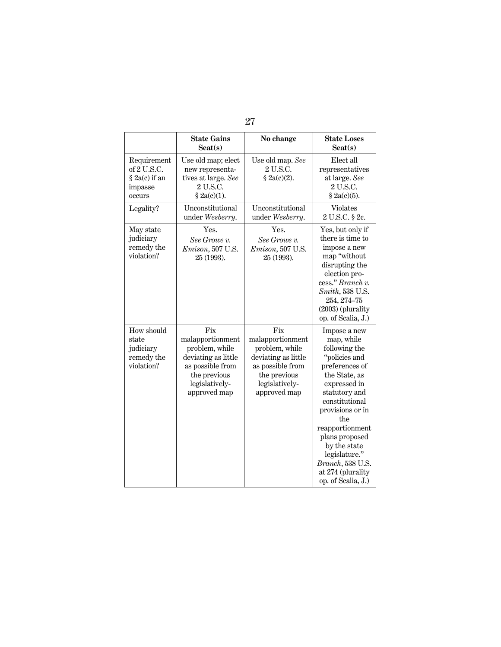|                                                                  | <b>State Gains</b><br>$S$ eat $(s)$                                                                                                    | No change                                                                                                                              | <b>State Loses</b><br>$S$ eat $(s)$                                                                                                                                                                                                                                                                                |
|------------------------------------------------------------------|----------------------------------------------------------------------------------------------------------------------------------------|----------------------------------------------------------------------------------------------------------------------------------------|--------------------------------------------------------------------------------------------------------------------------------------------------------------------------------------------------------------------------------------------------------------------------------------------------------------------|
| Requirement<br>of 2 U.S.C.<br>§ 2a(c) if an<br>impasse<br>occurs | Use old map; elect<br>new representa-<br>tives at large. See<br>2 U.S.C.<br>§ 2a(c)(1).                                                | Use old map. See<br>2 U.S.C.<br>§ 2a(c)(2).                                                                                            | Elect all<br>representatives<br>at large. See<br>2 U.S.C.<br>§ 2a(c)(5).                                                                                                                                                                                                                                           |
| Legality?                                                        | Unconstitutional<br>under Wesberry.                                                                                                    | Unconstitutional<br>under Wesberry.                                                                                                    | <b>Violates</b><br>2 U.S.C. § 2c.                                                                                                                                                                                                                                                                                  |
| May state<br>judiciary<br>remedy the<br>violation?               | Yes.<br>See Growe v.<br>Emison, 507 U.S.<br>25 (1993).                                                                                 | Yes.<br>See Growe v.<br><i>Emison</i> , 507 U.S.<br>25 (1993).                                                                         | Yes, but only if<br>there is time to<br>impose a new<br>map "without<br>disrupting the<br>election pro-<br>cess." Branch v.<br>Smith, 538 U.S.<br>254, 274-75<br>$(2003)$ (plurality<br>op. of Scalia, J.)                                                                                                         |
| How should<br>state<br>judiciary<br>remedy the<br>violation?     | Fix<br>malapportionment<br>problem, while<br>deviating as little<br>as possible from<br>the previous<br>legislatively-<br>approved map | Fix<br>malapportionment<br>problem, while<br>deviating as little<br>as possible from<br>the previous<br>legislatively-<br>approved map | Impose a new<br>map, while<br>following the<br>"policies and<br>preferences of<br>the State, as<br>expressed in<br>statutory and<br>constitutional<br>provisions or in<br>the<br>reapportionment<br>plans proposed<br>by the state<br>legislature."<br>Branch, 538 U.S.<br>at 274 (plurality<br>op. of Scalia, J.) |

27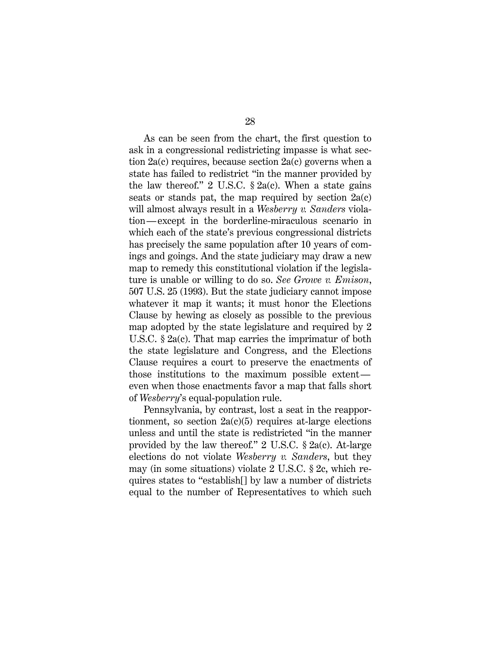As can be seen from the chart, the first question to ask in a congressional redistricting impasse is what section 2a(c) requires, because section 2a(c) governs when a state has failed to redistrict "in the manner provided by the law thereof." 2 U.S.C.  $\S$  2a(c). When a state gains seats or stands pat, the map required by section 2a(c) will almost always result in a *Wesberry v. Sanders* violation—except in the borderline-miraculous scenario in which each of the state's previous congressional districts has precisely the same population after 10 years of comings and goings. And the state judiciary may draw a new map to remedy this constitutional violation if the legislature is unable or willing to do so. *See Growe v. Emison*, 507 U.S. 25 (1993). But the state judiciary cannot impose whatever it map it wants; it must honor the Elections Clause by hewing as closely as possible to the previous map adopted by the state legislature and required by 2 U.S.C. § 2a(c). That map carries the imprimatur of both the state legislature and Congress, and the Elections Clause requires a court to preserve the enactments of those institutions to the maximum possible extent even when those enactments favor a map that falls short of *Wesberry*'s equal-population rule.

Pennsylvania, by contrast, lost a seat in the reapportionment, so section  $2a(c)(5)$  requires at-large elections unless and until the state is redistricted "in the manner provided by the law thereof." 2 U.S.C. § 2a(c). At-large elections do not violate *Wesberry v. Sanders*, but they may (in some situations) violate 2 U.S.C. § 2c, which requires states to "establish[] by law a number of districts equal to the number of Representatives to which such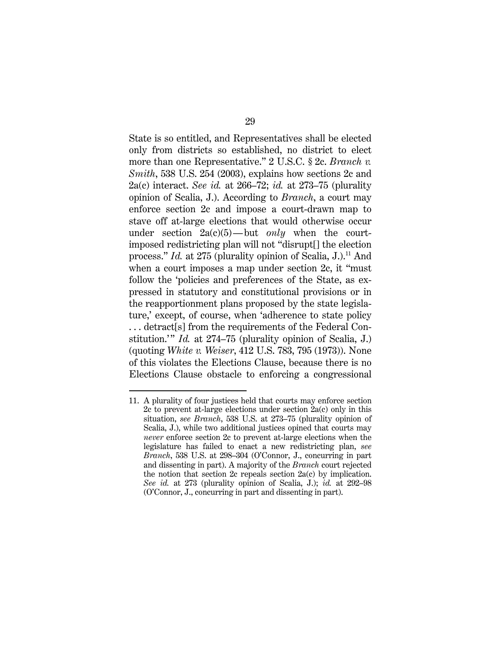State is so entitled, and Representatives shall be elected only from districts so established, no district to elect more than one Representative." 2 U.S.C. § 2c. *Branch v. Smith*, 538 U.S. 254 (2003), explains how sections 2c and 2a(c) interact. *See id.* at 266–72; *id.* at 273–75 (plurality opinion of Scalia, J.). According to *Branch*, a court may enforce section 2c and impose a court-drawn map to stave off at-large elections that would otherwise occur under section 2a(c)(5)—but *only* when the courtimposed redistricting plan will not "disrupt[] the election process." *Id.* at 275 (plurality opinion of Scalia, J.).<sup>11</sup> And when a court imposes a map under section 2c, it "must follow the 'policies and preferences of the State, as expressed in statutory and constitutional provisions or in the reapportionment plans proposed by the state legislature,' except, of course, when 'adherence to state policy . . . detract[s] from the requirements of the Federal Constitution.'" *Id.* at 274–75 (plurality opinion of Scalia, J.) (quoting *White v. Weiser*, 412 U.S. 783, 795 (1973)). None of this violates the Elections Clause, because there is no Elections Clause obstacle to enforcing a congressional

<sup>11.</sup> A plurality of four justices held that courts may enforce section 2c to prevent at-large elections under section 2a(c) only in this situation, *see Branch*, 538 U.S. at 273–75 (plurality opinion of Scalia, J.), while two additional justices opined that courts may *never* enforce section 2c to prevent at-large elections when the legislature has failed to enact a new redistricting plan, *see Branch*, 538 U.S. at 298–304 (O'Connor, J., concurring in part and dissenting in part). A majority of the *Branch* court rejected the notion that section 2c repeals section 2a(c) by implication. *See id.* at 273 (plurality opinion of Scalia, J.); *id.* at 292–98 (O'Connor, J., concurring in part and dissenting in part).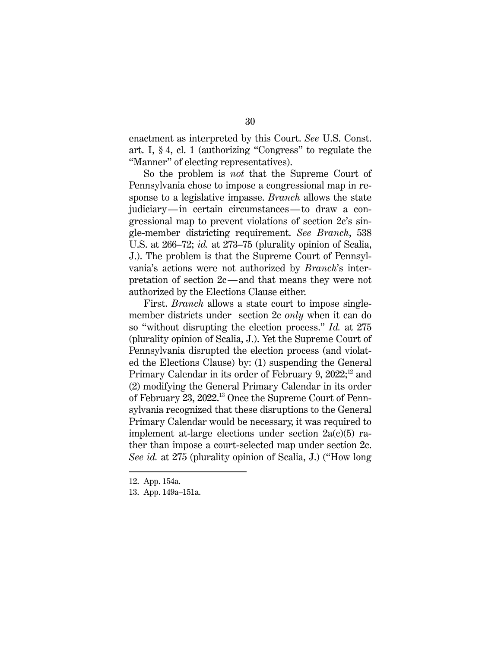enactment as interpreted by this Court. *See* U.S. Const. art. I, § 4, cl. 1 (authorizing "Congress" to regulate the "Manner" of electing representatives).

So the problem is *not* that the Supreme Court of Pennsylvania chose to impose a congressional map in response to a legislative impasse. *Branch* allows the state judiciary—in certain circumstances—to draw a congressional map to prevent violations of section 2c's single-member districting requirement. *See Branch*, 538 U.S. at 266–72; *id.* at 273–75 (plurality opinion of Scalia, J.). The problem is that the Supreme Court of Pennsylvania's actions were not authorized by *Branch*'s interpretation of section 2c—and that means they were not authorized by the Elections Clause either.

First. *Branch* allows a state court to impose singlemember districts under section 2c *only* when it can do so "without disrupting the election process." *Id.* at 275 (plurality opinion of Scalia, J.). Yet the Supreme Court of Pennsylvania disrupted the election process (and violated the Elections Clause) by: (1) suspending the General Primary Calendar in its order of February 9, 2022;<sup>12</sup> and (2) modifying the General Primary Calendar in its order of February 23, 2022.13 Once the Supreme Court of Pennsylvania recognized that these disruptions to the General Primary Calendar would be necessary, it was required to implement at-large elections under section  $2a(c)(5)$  rather than impose a court-selected map under section 2c. *See id.* at 275 (plurality opinion of Scalia, J.) ("How long

<sup>12.</sup> App. 154a.

<sup>13.</sup> App. 149a–151a.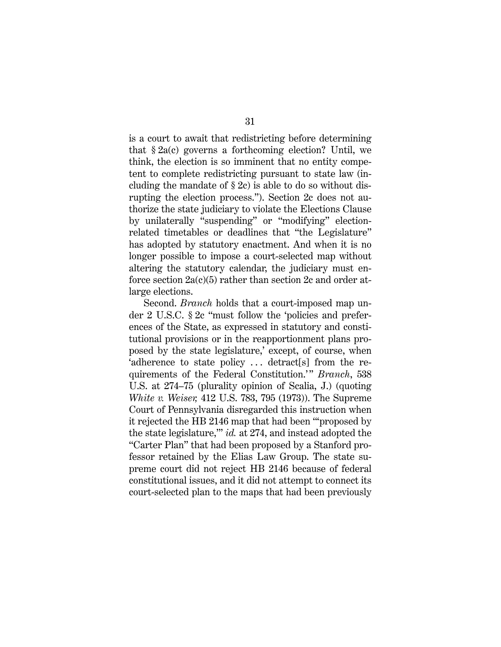is a court to await that redistricting before determining that  $\S 2a(c)$  governs a forthcoming election? Until, we think, the election is so imminent that no entity competent to complete redistricting pursuant to state law (including the mandate of  $\S 2c$  is able to do so without disrupting the election process."). Section 2c does not authorize the state judiciary to violate the Elections Clause by unilaterally "suspending" or "modifying" electionrelated timetables or deadlines that "the Legislature" has adopted by statutory enactment. And when it is no longer possible to impose a court-selected map without altering the statutory calendar, the judiciary must enforce section  $2a(c)(5)$  rather than section 2c and order atlarge elections.

Second. *Branch* holds that a court-imposed map under 2 U.S.C. § 2c "must follow the 'policies and preferences of the State, as expressed in statutory and constitutional provisions or in the reapportionment plans proposed by the state legislature,' except, of course, when 'adherence to state policy . . . detract[s] from the requirements of the Federal Constitution.'" *Branch*, 538 U.S. at 274–75 (plurality opinion of Scalia, J.) (quoting *White v. Weiser,* 412 U.S. 783, 795 (1973)). The Supreme Court of Pennsylvania disregarded this instruction when it rejected the HB 2146 map that had been "'proposed by the state legislature,'" *id.* at 274, and instead adopted the "Carter Plan" that had been proposed by a Stanford professor retained by the Elias Law Group. The state supreme court did not reject HB 2146 because of federal constitutional issues, and it did not attempt to connect its court-selected plan to the maps that had been previously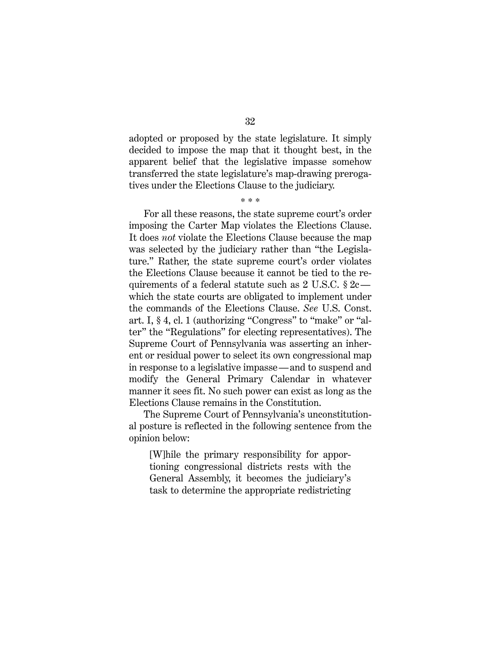adopted or proposed by the state legislature. It simply decided to impose the map that it thought best, in the apparent belief that the legislative impasse somehow transferred the state legislature's map-drawing prerogatives under the Elections Clause to the judiciary.

\* \* \*

For all these reasons, the state supreme court's order imposing the Carter Map violates the Elections Clause. It does *not* violate the Elections Clause because the map was selected by the judiciary rather than "the Legislature." Rather, the state supreme court's order violates the Elections Clause because it cannot be tied to the requirements of a federal statute such as  $2 \text{ U.S.C. } § 2c$  which the state courts are obligated to implement under the commands of the Elections Clause. *See* U.S. Const. art. I, § 4, cl. 1 (authorizing "Congress" to "make" or "alter" the "Regulations" for electing representatives). The Supreme Court of Pennsylvania was asserting an inherent or residual power to select its own congressional map in response to a legislative impasse—and to suspend and modify the General Primary Calendar in whatever manner it sees fit. No such power can exist as long as the Elections Clause remains in the Constitution.

The Supreme Court of Pennsylvania's unconstitutional posture is reflected in the following sentence from the opinion below:

[W]hile the primary responsibility for apportioning congressional districts rests with the General Assembly, it becomes the judiciary's task to determine the appropriate redistricting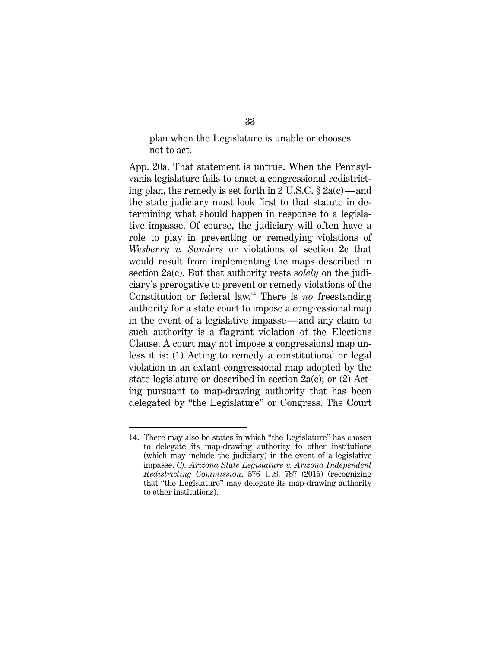plan when the Legislature is unable or chooses not to act.

App. 20a. That statement is untrue. When the Pennsylvania legislature fails to enact a congressional redistricting plan, the remedy is set forth in 2 U.S.C.  $\S 2a(c)$ —and the state judiciary must look first to that statute in determining what should happen in response to a legislative impasse. Of course, the judiciary will often have a role to play in preventing or remedying violations of *Wesberry v. Sanders* or violations of section 2c that would result from implementing the maps described in section 2a(c). But that authority rests *solely* on the judiciary's prerogative to prevent or remedy violations of the Constitution or federal law.14 There is *no* freestanding authority for a state court to impose a congressional map in the event of a legislative impasse—and any claim to such authority is a flagrant violation of the Elections Clause. A court may not impose a congressional map unless it is: (1) Acting to remedy a constitutional or legal violation in an extant congressional map adopted by the state legislature or described in section 2a(c); or (2) Acting pursuant to map-drawing authority that has been delegated by "the Legislature" or Congress. The Court

<sup>14.</sup> There may also be states in which "the Legislature" has chosen to delegate its map-drawing authority to other institutions (which may include the judiciary) in the event of a legislative impasse. *Cf. Arizona State Legislature v. Arizona Independent Redistricting Commission*, 576 U.S. 787 (2015) (recognizing that "the Legislature" may delegate its map-drawing authority to other institutions).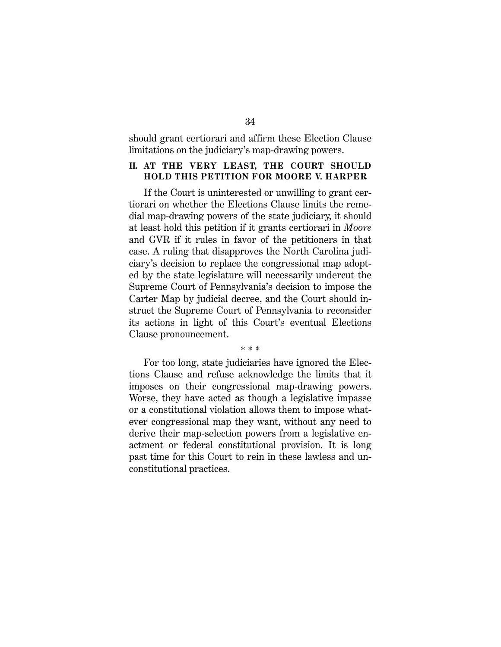should grant certiorari and affirm these Election Clause limitations on the judiciary's map-drawing powers.

#### **II. AT THE VERY LEAST, THE COURT SHOULD HOLD THIS PETITION FOR MOORE V. HARPER**

If the Court is uninterested or unwilling to grant certiorari on whether the Elections Clause limits the remedial map-drawing powers of the state judiciary, it should at least hold this petition if it grants certiorari in *Moore* and GVR if it rules in favor of the petitioners in that case. A ruling that disapproves the North Carolina judiciary's decision to replace the congressional map adopted by the state legislature will necessarily undercut the Supreme Court of Pennsylvania's decision to impose the Carter Map by judicial decree, and the Court should instruct the Supreme Court of Pennsylvania to reconsider its actions in light of this Court's eventual Elections Clause pronouncement.

\* \* \*

For too long, state judiciaries have ignored the Elections Clause and refuse acknowledge the limits that it imposes on their congressional map-drawing powers. Worse, they have acted as though a legislative impasse or a constitutional violation allows them to impose whatever congressional map they want, without any need to derive their map-selection powers from a legislative enactment or federal constitutional provision. It is long past time for this Court to rein in these lawless and unconstitutional practices.